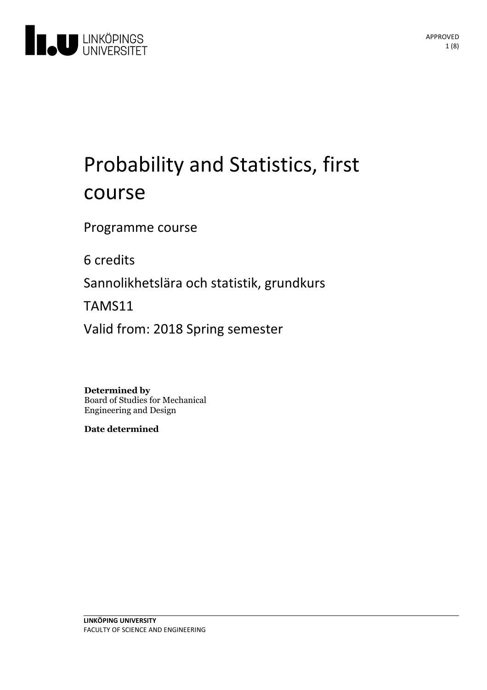

# Probability and Statistics, first course

Programme course

6 credits

Sannolikhetslära och statistik, grundkurs

TAMS11

Valid from: 2018 Spring semester

**Determined by** Board of Studies for Mechanical Engineering and Design

**Date determined**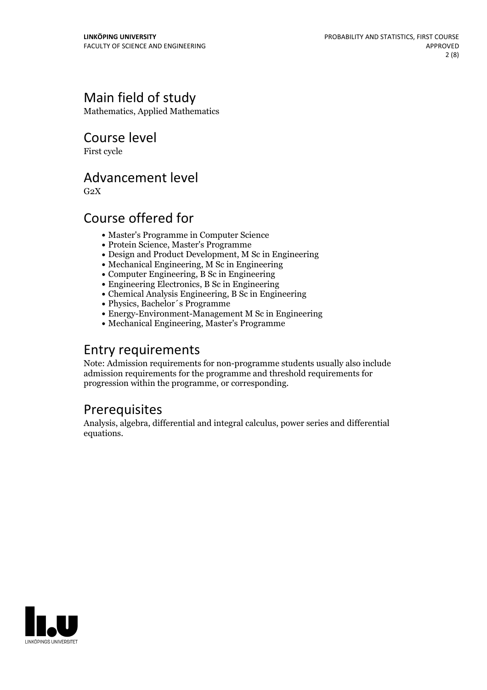### Main field of study

Mathematics, Applied Mathematics

Course level

First cycle

### Advancement level

 $G<sub>2</sub>X$ 

### Course offered for

- Master's Programme in Computer Science
- Protein Science, Master's Programme
- Design and Product Development, M Sc in Engineering
- $\bullet$  Mechanical Engineering, M Sc in Engineering
- Computer Engineering, B Sc in Engineering
- Engineering Electronics, B Sc in Engineering
- Chemical Analysis Engineering, B Sc in Engineering
- Physics, Bachelor´s Programme
- Energy-Environment-Management M Sc in Engineering
- Mechanical Engineering, Master's Programme

### Entry requirements

Note: Admission requirements for non-programme students usually also include admission requirements for the programme and threshold requirements for progression within the programme, or corresponding.

## **Prerequisites**

Analysis, algebra, differential and integral calculus, power series and differential equations.

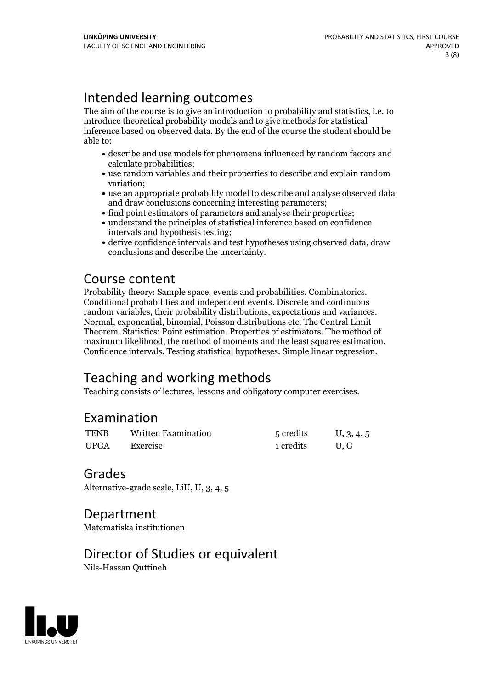### Intended learning outcomes

The aim of the course is to give an introduction to probability and statistics, i.e. to introduce theoretical probability models and to give methods for statistical inference based on observed data. By the end of the course the student should be able to:

- describe and use models for phenomena influenced by random factorsand calculate probabilities;
- use random variables and their properties to describe and explain random variation;
- use an appropriate probability model to describe and analyse observed data and draw conclusions concerning interesting parameters;
- find point estimators of parameters and analyse their properties;
- understand the principles of statistical inference based on confidence intervals and hypothesis testing;
- derive confidence intervals and test hypotheses using observed data, draw conclusions and describe the uncertainty.

Course content<br>Probability theory: Sample space, events and probabilities. Combinatorics. Conditional probabilities and independent events. Discrete and continuous random variables, their probability distributions, expectations and variances. Normal, exponential, binomial, Poisson distributions etc. The Central Limit Theorem. Statistics: Point estimation. Properties of estimators. The method of maximum likelihood, the method of moments and the least squares estimation. Confidence intervals. Testing statistical hypotheses. Simple linear regression.

### Teaching and working methods

Teaching consists of lectures, lessons and obligatory computer exercises.

### Examination

| <b>TENB</b> | <b>Written Examination</b> | 5 credits | U, 3, 4, 5 |
|-------------|----------------------------|-----------|------------|
| <b>UPGA</b> | Exercise                   | 1 credits | U.G        |

### Grades

Alternative-grade scale, LiU, U, 3, 4, 5

### Department

Matematiska institutionen

### Director of Studies or equivalent

Nils-Hassan Quttineh

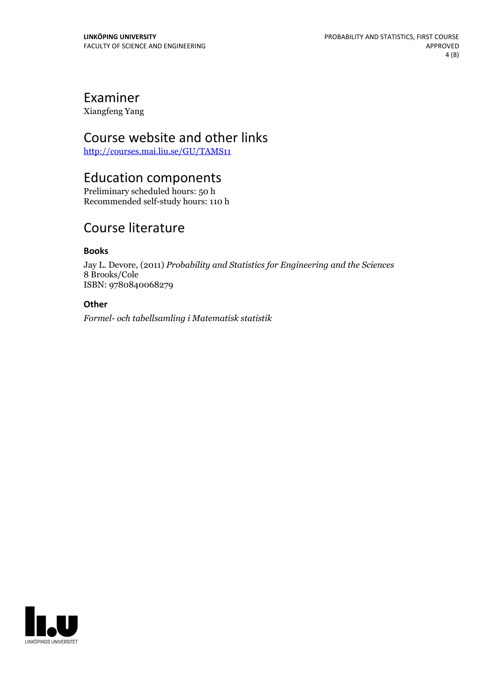## Examiner

Xiangfeng Yang

### Course website and other links

<http://courses.mai.liu.se/GU/TAMS11>

### Education components

Preliminary scheduled hours: 50 h Recommended self-study hours: 110 h

### Course literature

#### **Books**

Jay L. Devore, (2011) *Probability and Statistics for Engineering and the Sciences* 8 Brooks/Cole ISBN: 9780840068279

#### **Other**

*Formel- och tabellsamling i Matematisk statistik*

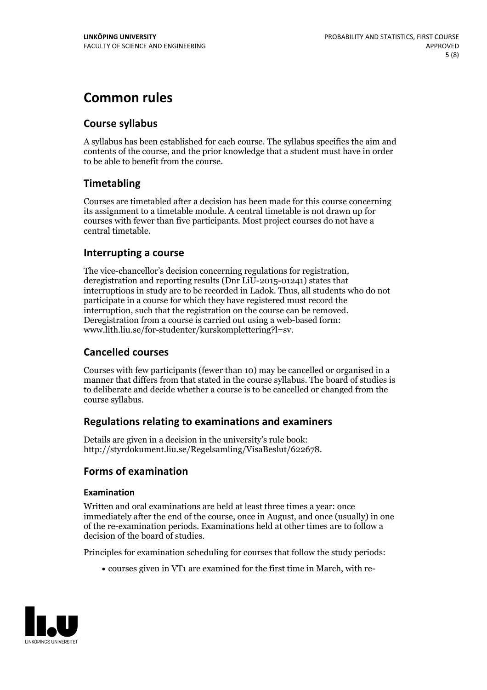### **Common rules**

### **Course syllabus**

A syllabus has been established for each course. The syllabus specifies the aim and contents of the course, and the prior knowledge that a student must have in order to be able to benefit from the course.

### **Timetabling**

Courses are timetabled after a decision has been made for this course concerning its assignment to a timetable module. A central timetable is not drawn up for courses with fewer than five participants. Most project courses do not have a central timetable.

#### **Interrupting a course**

The vice-chancellor's decision concerning regulations for registration, deregistration and reporting results (Dnr LiU-2015-01241) states that interruptions in study are to be recorded in Ladok. Thus, all students who do not participate in a course for which they have registered must record the interruption, such that the registration on the course can be removed. Deregistration from <sup>a</sup> course is carried outusing <sup>a</sup> web-based form: www.lith.liu.se/for-studenter/kurskomplettering?l=sv.

#### **Cancelled courses**

Courses with few participants (fewer than 10) may be cancelled or organised in a manner that differs from that stated in the course syllabus. The board of studies is to deliberate and decide whether a course is to be cancelled orchanged from the course syllabus.

#### **Regulations relatingto examinations and examiners**

Details are given in a decision in the university's rule book: http://styrdokument.liu.se/Regelsamling/VisaBeslut/622678.

### **Forms of examination**

#### **Examination**

Written and oral examinations are held at least three times a year: once immediately after the end of the course, once in August, and once (usually) in one of the re-examination periods. Examinations held at other times are to follow a decision of the board of studies.

Principles for examination scheduling for courses that follow the study periods:

courses given in VT1 are examined for the first time in March, with re-

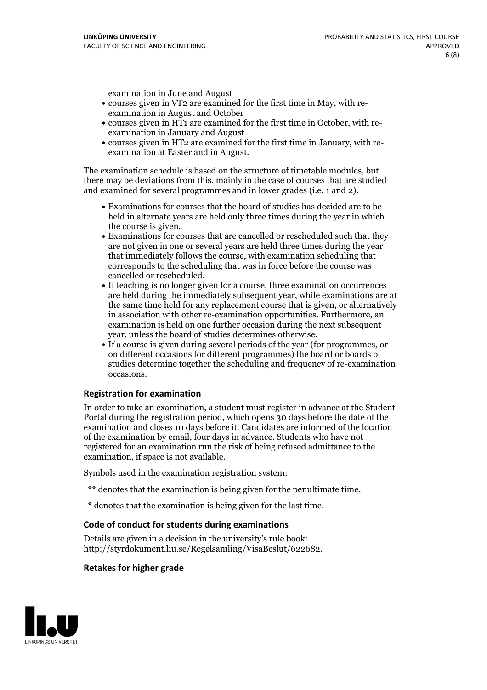examination in June and August

- courses given in VT2 are examined for the first time in May, with re-examination in August and October
- courses given in HT1 are examined for the first time in October, with re-examination in January and August
- courses given in HT2 are examined for the first time in January, with re-examination at Easter and in August.

The examination schedule is based on the structure of timetable modules, but there may be deviations from this, mainly in the case of courses that are studied and examined for several programmes and in lower grades (i.e. 1 and 2).

- Examinations for courses that the board of studies has decided are to be held in alternate years are held only three times during the year in which
- the course is given.<br>• Examinations for courses that are cancelled or rescheduled such that they are not given in one or several years are held three times during the year that immediately follows the course, with examination scheduling that corresponds to the scheduling that was in force before the course was cancelled or rescheduled.<br>• If teaching is no longer given for a course, three examination occurrences
- are held during the immediately subsequent year, while examinations are at the same time held for any replacement course that is given, or alternatively in association with other re-examination opportunities. Furthermore, an examination is held on one further occasion during the next subsequent year, unless the board of studies determines otherwise.<br>• If a course is given during several periods of the year (for programmes, or
- on different occasions for different programmes) the board orboards of studies determine together the scheduling and frequency of re-examination occasions.

#### **Registration for examination**

In order to take an examination, a student must register in advance at the Student Portal during the registration period, which opens 30 days before the date of the examination and closes 10 days before it. Candidates are informed of the location of the examination by email, four days in advance. Students who have not registered for an examination run the risk of being refused admittance to the examination, if space is not available.

Symbols used in the examination registration system:

- \*\* denotes that the examination is being given for the penultimate time.
- \* denotes that the examination is being given for the last time.

#### **Code of conduct for students during examinations**

Details are given in a decision in the university's rule book: http://styrdokument.liu.se/Regelsamling/VisaBeslut/622682.

#### **Retakes for higher grade**

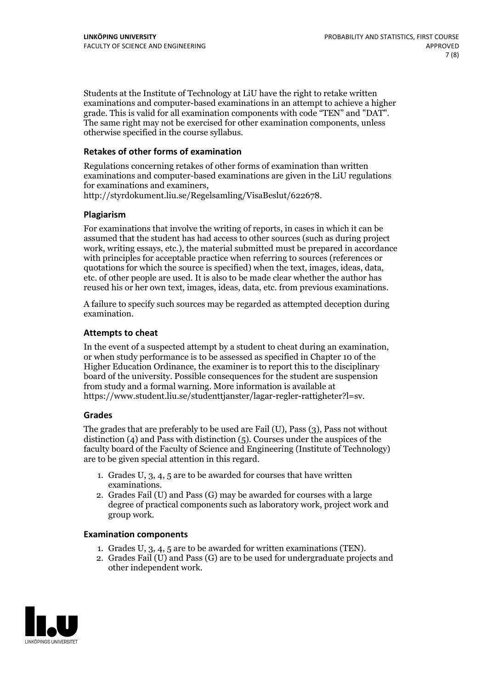Students at the Institute of Technology at LiU have the right to retake written examinations and computer-based examinations in an attempt to achieve a higher grade. This is valid for all examination components with code "TEN" and "DAT". The same right may not be exercised for other examination components, unless otherwise specified in the course syllabus.

#### **Retakes of other forms of examination**

Regulations concerning retakes of other forms of examination than written examinations and computer-based examinations are given in the LiU regulations for examinations and examiners, http://styrdokument.liu.se/Regelsamling/VisaBeslut/622678.

#### **Plagiarism**

For examinations that involve the writing of reports, in cases in which it can be assumed that the student has had access to other sources (such as during project work, writing essays, etc.), the material submitted must be prepared in accordance with principles for acceptable practice when referring to sources (references or quotations for which the source is specified) when the text, images, ideas, data, etc. of other people are used. It is also to be made clear whether the author has reused his or her own text, images, ideas, data, etc. from previous examinations.

A failure to specify such sources may be regarded as attempted deception during examination.

#### **Attempts to cheat**

In the event of <sup>a</sup> suspected attempt by <sup>a</sup> student to cheat during an examination, or when study performance is to be assessed as specified in Chapter <sup>10</sup> of the Higher Education Ordinance, the examiner is to report this to the disciplinary board of the university. Possible consequences for the student are suspension from study and a formal warning. More information is available at https://www.student.liu.se/studenttjanster/lagar-regler-rattigheter?l=sv.

#### **Grades**

The grades that are preferably to be used are Fail (U), Pass (3), Pass not without distinction  $(4)$  and Pass with distinction  $(5)$ . Courses under the auspices of the faculty board of the Faculty of Science and Engineering (Institute of Technology) are to be given special attention in this regard.

- 1. Grades U, 3, 4, 5 are to be awarded for courses that have written
- examinations. 2. Grades Fail (U) and Pass (G) may be awarded for courses with <sup>a</sup> large degree of practical components such as laboratory work, project work and group work.

#### **Examination components**

- 
- 1. Grades U, 3, 4, <sup>5</sup> are to be awarded for written examinations (TEN). 2. Grades Fail (U) and Pass (G) are to be used for undergraduate projects and other independent work.